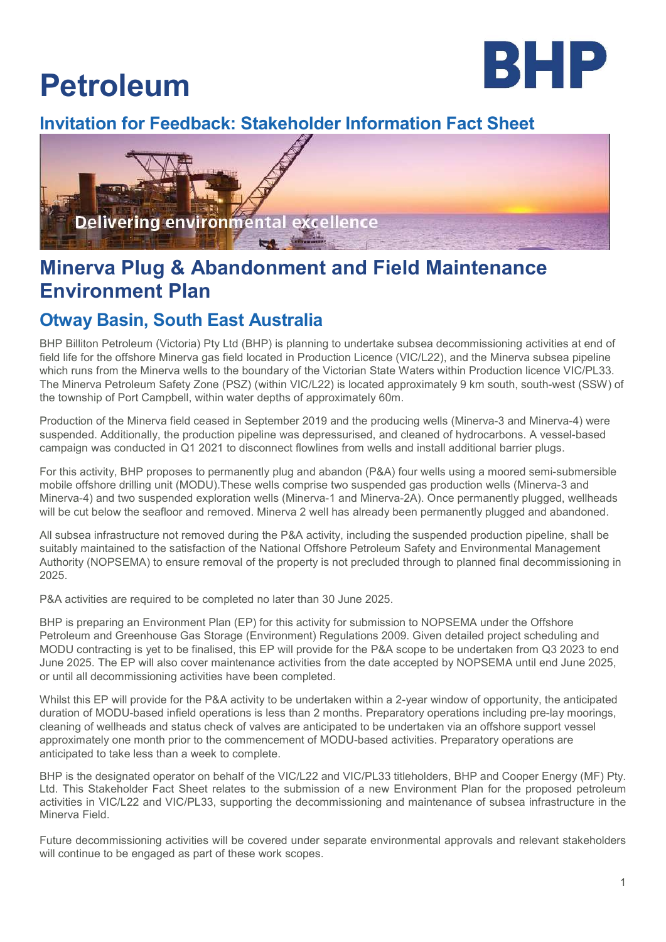# Petroleum



## Invitation for Feedback: Stakeholder Information Fact Sheet



# Minerva Plug & Abandonment and Field Maintenance Environment Plan

## Otway Basin, South East Australia

BHP Billiton Petroleum (Victoria) Pty Ltd (BHP) is planning to undertake subsea decommissioning activities at end of field life for the offshore Minerva gas field located in Production Licence (VIC/L22), and the Minerva subsea pipeline which runs from the Minerva wells to the boundary of the Victorian State Waters within Production licence VIC/PL33. The Minerva Petroleum Safety Zone (PSZ) (within VIC/L22) is located approximately 9 km south, south-west (SSW) of the township of Port Campbell, within water depths of approximately 60m.

Production of the Minerva field ceased in September 2019 and the producing wells (Minerva-3 and Minerva-4) were suspended. Additionally, the production pipeline was depressurised, and cleaned of hydrocarbons. A vessel-based campaign was conducted in Q1 2021 to disconnect flowlines from wells and install additional barrier plugs.

For this activity, BHP proposes to permanently plug and abandon (P&A) four wells using a moored semi-submersible mobile offshore drilling unit (MODU).These wells comprise two suspended gas production wells (Minerva-3 and Minerva-4) and two suspended exploration wells (Minerva-1 and Minerva-2A). Once permanently plugged, wellheads will be cut below the seafloor and removed. Minerva 2 well has already been permanently plugged and abandoned.

All subsea infrastructure not removed during the P&A activity, including the suspended production pipeline, shall be suitably maintained to the satisfaction of the National Offshore Petroleum Safety and Environmental Management Authority (NOPSEMA) to ensure removal of the property is not precluded through to planned final decommissioning in 2025.

P&A activities are required to be completed no later than 30 June 2025.

BHP is preparing an Environment Plan (EP) for this activity for submission to NOPSEMA under the Offshore Petroleum and Greenhouse Gas Storage (Environment) Regulations 2009. Given detailed project scheduling and MODU contracting is yet to be finalised, this EP will provide for the P&A scope to be undertaken from Q3 2023 to end June 2025. The EP will also cover maintenance activities from the date accepted by NOPSEMA until end June 2025, or until all decommissioning activities have been completed.

Whilst this EP will provide for the P&A activity to be undertaken within a 2-year window of opportunity, the anticipated duration of MODU-based infield operations is less than 2 months. Preparatory operations including pre-lay moorings, cleaning of wellheads and status check of valves are anticipated to be undertaken via an offshore support vessel approximately one month prior to the commencement of MODU-based activities. Preparatory operations are anticipated to take less than a week to complete.

BHP is the designated operator on behalf of the VIC/L22 and VIC/PL33 titleholders, BHP and Cooper Energy (MF) Pty. Ltd. This Stakeholder Fact Sheet relates to the submission of a new Environment Plan for the proposed petroleum activities in VIC/L22 and VIC/PL33, supporting the decommissioning and maintenance of subsea infrastructure in the Minerva Field.

Future decommissioning activities will be covered under separate environmental approvals and relevant stakeholders will continue to be engaged as part of these work scopes.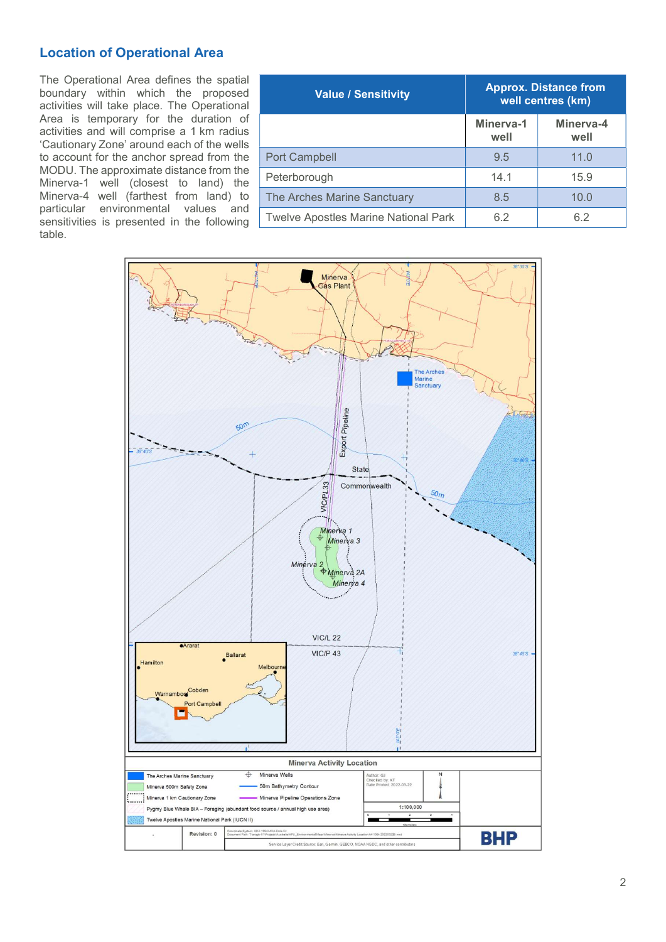## Location of Operational Area

The Operational Area defines the spatial boundary within which the proposed activities will take place. The Operational Area is temporary for the duration of activities and will comprise a 1 km radius 'Cautionary Zone' around each of the wells to account for the anchor spread from the MODU. The approximate distance from the Minerva-1 well (closest to land) the Minerva-4 well (farthest from land) to particular environmental values and sensitivities is presented in the following table.

| <b>Value / Sensitivity</b>                  | <b>Approx. Distance from</b><br>well centres (km) |                   |
|---------------------------------------------|---------------------------------------------------|-------------------|
|                                             | Minerva-1<br>well                                 | Minerva-4<br>well |
| <b>Port Campbell</b>                        | 9.5                                               | 11.0              |
| Peterborough                                | 14.1                                              | 15.9              |
| The Arches Marine Sanctuary                 | 8.5                                               | 10.0              |
| <b>Twelve Apostles Marine National Park</b> | 6.2                                               | 6.2               |

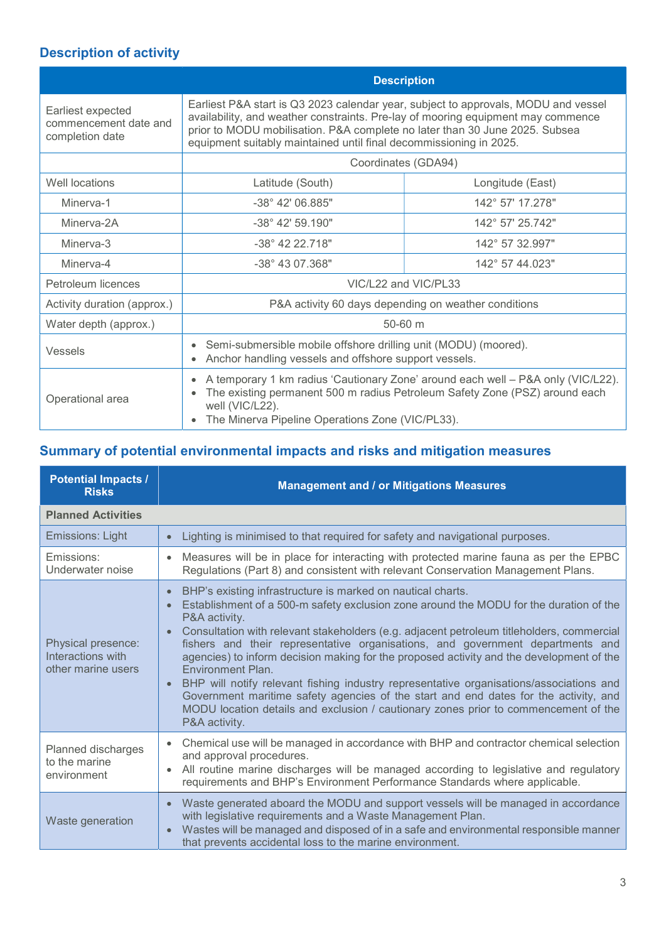## Description of activity

|                                                               | <b>Description</b>                                                                                                                                                                                                                                                                                                          |                  |
|---------------------------------------------------------------|-----------------------------------------------------------------------------------------------------------------------------------------------------------------------------------------------------------------------------------------------------------------------------------------------------------------------------|------------------|
| Earliest expected<br>commencement date and<br>completion date | Earliest P&A start is Q3 2023 calendar year, subject to approvals, MODU and vessel<br>availability, and weather constraints. Pre-lay of mooring equipment may commence<br>prior to MODU mobilisation. P&A complete no later than 30 June 2025. Subsea<br>equipment suitably maintained until final decommissioning in 2025. |                  |
|                                                               | Coordinates (GDA94)                                                                                                                                                                                                                                                                                                         |                  |
| Well locations                                                | Latitude (South)                                                                                                                                                                                                                                                                                                            | Longitude (East) |
| Minerva-1                                                     | $-38^{\circ}$ 42' 06.885"                                                                                                                                                                                                                                                                                                   | 142° 57' 17.278" |
| Minerva-2A                                                    | $-38^{\circ}$ 42' 59.190"                                                                                                                                                                                                                                                                                                   | 142° 57' 25.742" |
| Minerva-3                                                     | $-38^{\circ}$ 42 22 718"                                                                                                                                                                                                                                                                                                    | 142° 57 32 997"  |
| Minerva-4                                                     | $-38^{\circ}$ 43 07 368"                                                                                                                                                                                                                                                                                                    | 142° 57 44 023"  |
| Petroleum licences                                            | VIC/L22 and VIC/PL33                                                                                                                                                                                                                                                                                                        |                  |
| Activity duration (approx.)                                   | P&A activity 60 days depending on weather conditions                                                                                                                                                                                                                                                                        |                  |
| Water depth (approx.)                                         | $50-60$ m                                                                                                                                                                                                                                                                                                                   |                  |
| Vessels                                                       | Semi-submersible mobile offshore drilling unit (MODU) (moored).<br>Anchor handling vessels and offshore support vessels.                                                                                                                                                                                                    |                  |
| Operational area                                              | A temporary 1 km radius 'Cautionary Zone' around each well - P&A only (VIC/L22).<br>The existing permanent 500 m radius Petroleum Safety Zone (PSZ) around each<br>well (VIC/L22).<br>The Minerva Pipeline Operations Zone (VIC/PL33).                                                                                      |                  |

## Summary of potential environmental impacts and risks and mitigation measures

| <b>Potential Impacts /</b><br><b>Risks</b>                    | <b>Management and / or Mitigations Measures</b>                                                                                                                                                                                                                                                                                                                                                                                                                                                                                                                                                                                                                                                                                                                                             |
|---------------------------------------------------------------|---------------------------------------------------------------------------------------------------------------------------------------------------------------------------------------------------------------------------------------------------------------------------------------------------------------------------------------------------------------------------------------------------------------------------------------------------------------------------------------------------------------------------------------------------------------------------------------------------------------------------------------------------------------------------------------------------------------------------------------------------------------------------------------------|
| <b>Planned Activities</b>                                     |                                                                                                                                                                                                                                                                                                                                                                                                                                                                                                                                                                                                                                                                                                                                                                                             |
| <b>Emissions: Light</b>                                       | Lighting is minimised to that required for safety and navigational purposes.<br>$\bullet$                                                                                                                                                                                                                                                                                                                                                                                                                                                                                                                                                                                                                                                                                                   |
| Emissions:<br>Underwater noise                                | Measures will be in place for interacting with protected marine fauna as per the EPBC<br>$\bullet$<br>Regulations (Part 8) and consistent with relevant Conservation Management Plans.                                                                                                                                                                                                                                                                                                                                                                                                                                                                                                                                                                                                      |
| Physical presence:<br>Interactions with<br>other marine users | BHP's existing infrastructure is marked on nautical charts.<br>$\bullet$<br>Establishment of a 500-m safety exclusion zone around the MODU for the duration of the<br>P&A activity.<br>Consultation with relevant stakeholders (e.g. adjacent petroleum titleholders, commercial<br>$\bullet$<br>fishers and their representative organisations, and government departments and<br>agencies) to inform decision making for the proposed activity and the development of the<br>Environment Plan.<br>BHP will notify relevant fishing industry representative organisations/associations and<br>Government maritime safety agencies of the start and end dates for the activity, and<br>MODU location details and exclusion / cautionary zones prior to commencement of the<br>P&A activity. |
| Planned discharges<br>to the marine<br>environment            | Chemical use will be managed in accordance with BHP and contractor chemical selection<br>$\bullet$<br>and approval procedures.<br>All routine marine discharges will be managed according to legislative and regulatory<br>requirements and BHP's Environment Performance Standards where applicable.                                                                                                                                                                                                                                                                                                                                                                                                                                                                                       |
| Waste generation                                              | Waste generated aboard the MODU and support vessels will be managed in accordance<br>$\bullet$<br>with legislative requirements and a Waste Management Plan.<br>Wastes will be managed and disposed of in a safe and environmental responsible manner<br>$\bullet$<br>that prevents accidental loss to the marine environment.                                                                                                                                                                                                                                                                                                                                                                                                                                                              |